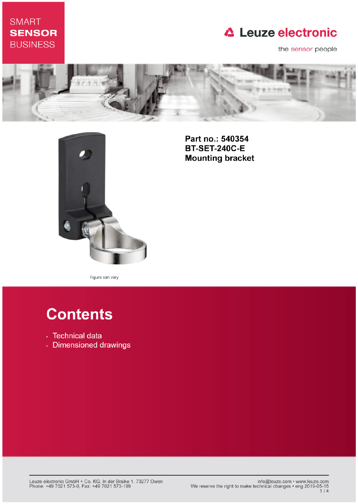## **SMART SENSOR BUSINESS**

## **△ Leuze electronic**

the sensor people





Part no.: 540354 **BT-SET-240C-E Mounting bracket** 

Figure can vary

# **Contents**

- · Technical data
- · Dimensioned drawings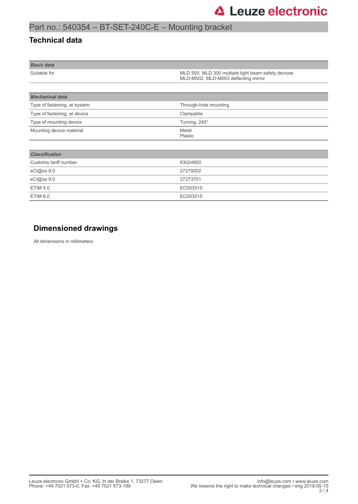## Part no.: 540354 – BT-SET-240C-E – Mounting bracket

### **Technical data**

| <b>Basic data</b> |                                                                                             |
|-------------------|---------------------------------------------------------------------------------------------|
| Suitable for      | MLD 500, MLD 300 multiple light beam safety devices<br>MLD-M002, MLD-M003 deflecting mirror |

| <b>Mechanical data</b>       |                       |  |
|------------------------------|-----------------------|--|
| Type of fastening, at system | Through-hole mounting |  |
| Type of fastening, at device | Clampable             |  |
| Type of mounting device      | Turning, 240°         |  |
| Mounting device material     | Metal<br>Plastic      |  |
|                              |                       |  |
| <b>Classification</b>        |                       |  |
| Customs tariff number        | 83024900              |  |
| eCl@ss 8.0                   | 27279202              |  |
| eCl@ss 9.0                   | 27273701              |  |
| <b>ETIM 5.0</b>              | EC003015              |  |
| <b>ETIM 6.0</b>              | EC003015              |  |

### **Dimensioned drawings**

All dimensions in millimeters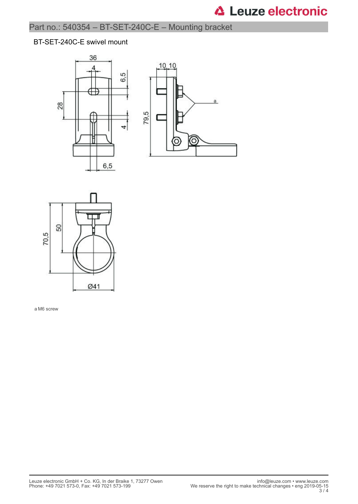# **△ Leuze electronic**

## Part no.: 540354 – BT-SET-240C-E – Mounting bracket

#### BT-SET-240C-E swivel mount







a M6 screw